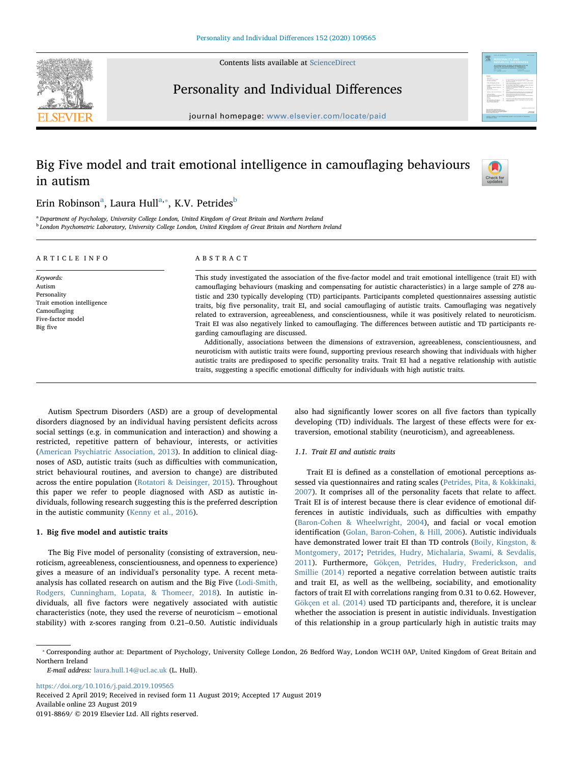Contents lists available at [ScienceDirect](http://www.sciencedirect.com/science/journal/01918869)





# Personality and Individual Differences

journal homepage: [www.elsevier.com/locate/paid](https://www.elsevier.com/locate/paid)

# Big Five model and trait emotional intelligence in camouflaging behaviours in autism



## Erin Robinson<sup>[a](#page-0-0)</sup>, Laura Hull<sup>[a,](#page-0-0)</sup>\*, K.V. Petrides<sup>[b](#page-0-2)</sup>

<span id="page-0-2"></span><span id="page-0-0"></span>a Department of Psychology, University College London, United Kingdom of Great Britain and Northern Ireland **b London Psychometric Laboratory, University College London, United Kingdom of Great Britain and Northern Ireland** 

### ARTICLE INFO

Keywords: Autism Personality Trait emotion intelligence Camouflaging Five-factor model Big five

### ABSTRACT

This study investigated the association of the five-factor model and trait emotional intelligence (trait EI) with camouflaging behaviours (masking and compensating for autistic characteristics) in a large sample of 278 autistic and 230 typically developing (TD) participants. Participants completed questionnaires assessing autistic traits, big five personality, trait EI, and social camouflaging of autistic traits. Camouflaging was negatively related to extraversion, agreeableness, and conscientiousness, while it was positively related to neuroticism. Trait EI was also negatively linked to camouflaging. The differences between autistic and TD participants regarding camouflaging are discussed.

Additionally, associations between the dimensions of extraversion, agreeableness, conscientiousness, and neuroticism with autistic traits were found, supporting previous research showing that individuals with higher autistic traits are predisposed to specific personality traits. Trait EI had a negative relationship with autistic traits, suggesting a specific emotional difficulty for individuals with high autistic traits.

Autism Spectrum Disorders (ASD) are a group of developmental disorders diagnosed by an individual having persistent deficits across social settings (e.g. in communication and interaction) and showing a restricted, repetitive pattern of behaviour, interests, or activities ([American Psychiatric Association, 2013](#page-5-0)). In addition to clinical diagnoses of ASD, autistic traits (such as difficulties with communication, strict behavioural routines, and aversion to change) are distributed across the entire population [\(Rotatori & Deisinger, 2015](#page-6-0)). Throughout this paper we refer to people diagnosed with ASD as autistic individuals, following research suggesting this is the preferred description in the autistic community [\(Kenny et al., 2016\)](#page-5-1).

### 1. Big five model and autistic traits

The Big Five model of personality (consisting of extraversion, neuroticism, agreeableness, conscientiousness, and openness to experience) gives a measure of an individual's personality type. A recent metaanalysis has collated research on autism and the Big Five ([Lodi-Smith,](#page-6-1) [Rodgers, Cunningham, Lopata, & Thomeer, 2018](#page-6-1)). In autistic individuals, all five factors were negatively associated with autistic characteristics (note, they used the reverse of neuroticism – emotional stability) with z-scores ranging from 0.21–0.50. Autistic individuals also had significantly lower scores on all five factors than typically developing (TD) individuals. The largest of these effects were for extraversion, emotional stability (neuroticism), and agreeableness.

### 1.1. Trait EI and autistic traits

Trait EI is defined as a constellation of emotional perceptions assessed via questionnaires and rating scales [\(Petrides, Pita, & Kokkinaki,](#page-6-2) [2007\)](#page-6-2). It comprises all of the personality facets that relate to affect. Trait EI is of interest because there is clear evidence of emotional differences in autistic individuals, such as difficulties with empathy ([Baron-Cohen & Wheelwright, 2004\)](#page-5-2), and facial or vocal emotion identification ([Golan, Baron-Cohen, & Hill, 2006\)](#page-5-3). Autistic individuals have demonstrated lower trait EI than TD controls [\(Boily, Kingston, &](#page-5-4) [Montgomery, 2017;](#page-5-4) [Petrides, Hudry, Michalaria, Swami, & Sevdalis,](#page-6-3) [2011\)](#page-6-3). Furthermore, [Gökçen, Petrides, Hudry, Frederickson, and](#page-5-5) [Smillie \(2014\)](#page-5-5) reported a negative correlation between autistic traits and trait EI, as well as the wellbeing, sociability, and emotionality factors of trait EI with correlations ranging from 0.31 to 0.62. However, [Gökçen et al. \(2014\)](#page-5-5) used TD participants and, therefore, it is unclear whether the association is present in autistic individuals. Investigation of this relationship in a group particularly high in autistic traits may

E-mail address: [laura.hull.14@ucl.ac.uk](mailto:laura.hull.14@ucl.ac.uk) (L. Hull).

<https://doi.org/10.1016/j.paid.2019.109565> Received 2 April 2019; Received in revised form 11 August 2019; Accepted 17 August 2019 Available online 23 August 2019 0191-8869/ © 2019 Elsevier Ltd. All rights reserved.

<span id="page-0-1"></span><sup>⁎</sup> Corresponding author at: Department of Psychology, University College London, 26 Bedford Way, London WC1H 0AP, United Kingdom of Great Britain and Northern Ireland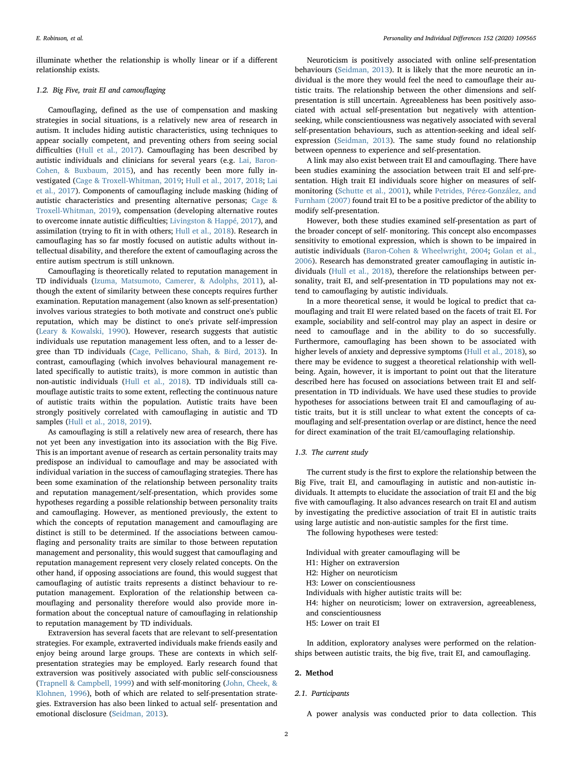illuminate whether the relationship is wholly linear or if a different relationship exists.

### 1.2. Big Five, trait EI and camouflaging

Camouflaging, defined as the use of compensation and masking strategies in social situations, is a relatively new area of research in autism. It includes hiding autistic characteristics, using techniques to appear socially competent, and preventing others from seeing social difficulties ([Hull et al., 2017](#page-5-6)). Camouflaging has been described by autistic individuals and clinicians for several years (e.g. [Lai, Baron-](#page-5-7)[Cohen, & Buxbaum, 2015\)](#page-5-7), and has recently been more fully investigated ([Cage & Troxell-Whitman, 2019;](#page-5-8) [Hull et al., 2017, 2018](#page-5-6); [Lai](#page-5-9) [et al., 2017](#page-5-9)). Components of camouflaging include masking (hiding of autistic characteristics and presenting alternative personas; [Cage &](#page-5-8) [Troxell-Whitman, 2019\)](#page-5-8), compensation (developing alternative routes to overcome innate autistic difficulties; [Livingston & Happé, 2017](#page-6-4)), and assimilation (trying to fit in with others; [Hull et al., 2018](#page-5-10)). Research in camouflaging has so far mostly focused on autistic adults without intellectual disability, and therefore the extent of camouflaging across the entire autism spectrum is still unknown.

Camouflaging is theoretically related to reputation management in TD individuals [\(Izuma, Matsumoto, Camerer, & Adolphs, 2011](#page-5-11)), although the extent of similarity between these concepts requires further examination. Reputation management (also known as self-presentation) involves various strategies to both motivate and construct one's public reputation, which may be distinct to one's private self-impression ([Leary & Kowalski, 1990](#page-5-12)). However, research suggests that autistic individuals use reputation management less often, and to a lesser degree than TD individuals [\(Cage, Pellicano, Shah, & Bird, 2013](#page-5-13)). In contrast, camouflaging (which involves behavioural management related specifically to autistic traits), is more common in autistic than non-autistic individuals ([Hull et al., 2018](#page-5-10)). TD individuals still camouflage autistic traits to some extent, reflecting the continuous nature of autistic traits within the population. Autistic traits have been strongly positively correlated with camouflaging in autistic and TD samples [\(Hull et al., 2018, 2019\)](#page-5-10).

As camouflaging is still a relatively new area of research, there has not yet been any investigation into its association with the Big Five. This is an important avenue of research as certain personality traits may predispose an individual to camouflage and may be associated with individual variation in the success of camouflaging strategies. There has been some examination of the relationship between personality traits and reputation management/self-presentation, which provides some hypotheses regarding a possible relationship between personality traits and camouflaging. However, as mentioned previously, the extent to which the concepts of reputation management and camouflaging are distinct is still to be determined. If the associations between camouflaging and personality traits are similar to those between reputation management and personality, this would suggest that camouflaging and reputation management represent very closely related concepts. On the other hand, if opposing associations are found, this would suggest that camouflaging of autistic traits represents a distinct behaviour to reputation management. Exploration of the relationship between camouflaging and personality therefore would also provide more information about the conceptual nature of camouflaging in relationship to reputation management by TD individuals.

Extraversion has several facets that are relevant to self-presentation strategies. For example, extraverted individuals make friends easily and enjoy being around large groups. These are contexts in which selfpresentation strategies may be employed. Early research found that extraversion was positively associated with public self-consciousness ([Trapnell & Campbell, 1999](#page-6-5)) and with self-monitoring ([John, Cheek, &](#page-5-14) [Klohnen, 1996](#page-5-14)), both of which are related to self-presentation strategies. Extraversion has also been linked to actual self- presentation and emotional disclosure ([Seidman, 2013\)](#page-6-6).

Neuroticism is positively associated with online self-presentation behaviours [\(Seidman, 2013\)](#page-6-6). It is likely that the more neurotic an individual is the more they would feel the need to camouflage their autistic traits. The relationship between the other dimensions and selfpresentation is still uncertain. Agreeableness has been positively associated with actual self-presentation but negatively with attentionseeking, while conscientiousness was negatively associated with several self-presentation behaviours, such as attention-seeking and ideal selfexpression ([Seidman, 2013\)](#page-6-6). The same study found no relationship between openness to experience and self-presentation.

A link may also exist between trait EI and camouflaging. There have been studies examining the association between trait EI and self-presentation. High trait EI individuals score higher on measures of selfmonitoring ([Schutte et al., 2001\)](#page-6-7), while [Petrides, Pérez-González, and](#page-6-8) [Furnham \(2007\)](#page-6-8) found trait EI to be a positive predictor of the ability to modify self-presentation.

However, both these studies examined self-presentation as part of the broader concept of self- monitoring. This concept also encompasses sensitivity to emotional expression, which is shown to be impaired in autistic individuals ([Baron-Cohen & Wheelwright, 2004](#page-5-2); [Golan et al.,](#page-5-3) [2006\)](#page-5-3). Research has demonstrated greater camouflaging in autistic individuals ([Hull et al., 2018\)](#page-5-10), therefore the relationships between personality, trait EI, and self-presentation in TD populations may not extend to camouflaging by autistic individuals.

In a more theoretical sense, it would be logical to predict that camouflaging and trait EI were related based on the facets of trait EI. For example, sociability and self-control may play an aspect in desire or need to camouflage and in the ability to do so successfully. Furthermore, camouflaging has been shown to be associated with higher levels of anxiety and depressive symptoms ([Hull et al., 2018\)](#page-5-10), so there may be evidence to suggest a theoretical relationship with wellbeing. Again, however, it is important to point out that the literature described here has focused on associations between trait EI and selfpresentation in TD individuals. We have used these studies to provide hypotheses for associations between trait EI and camouflaging of autistic traits, but it is still unclear to what extent the concepts of camouflaging and self-presentation overlap or are distinct, hence the need for direct examination of the trait EI/camouflaging relationship.

### 1.3. The current study

The current study is the first to explore the relationship between the Big Five, trait EI, and camouflaging in autistic and non-autistic individuals. It attempts to elucidate the association of trait EI and the big five with camouflaging. It also advances research on trait EI and autism by investigating the predictive association of trait EI in autistic traits using large autistic and non-autistic samples for the first time.

The following hypotheses were tested:

- Individual with greater camouflaging will be
- H1: Higher on extraversion
- H2: Higher on neuroticism
- H3: Lower on conscientiousness
- Individuals with higher autistic traits will be:
- H4: higher on neuroticism; lower on extraversion, agreeableness, and conscientiousness
- H5: Lower on trait EI

In addition, exploratory analyses were performed on the relationships between autistic traits, the big five, trait EI, and camouflaging.

### 2. Method

### 2.1. Participants

A power analysis was conducted prior to data collection. This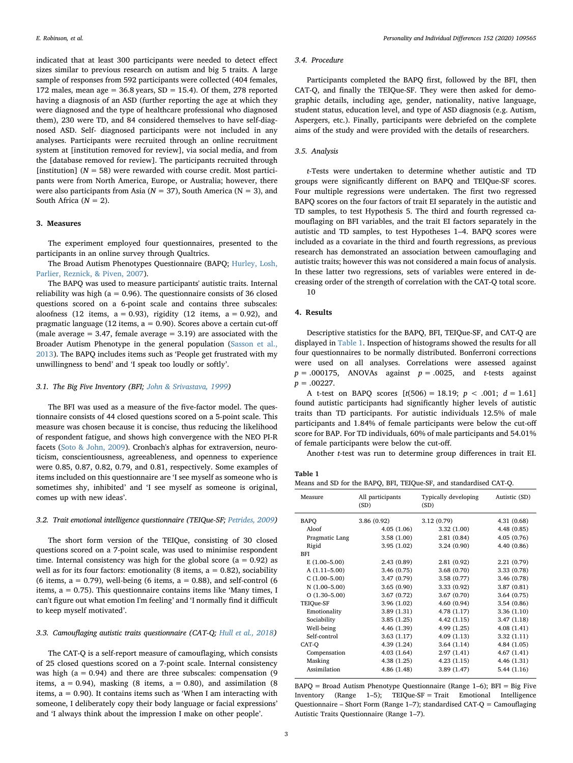indicated that at least 300 participants were needed to detect effect sizes similar to previous research on autism and big 5 traits. A large sample of responses from 592 participants were collected (404 females, 172 males, mean age =  $36.8$  years, SD = 15.4). Of them, 278 reported having a diagnosis of an ASD (further reporting the age at which they were diagnosed and the type of healthcare professional who diagnosed them), 230 were TD, and 84 considered themselves to have self-diagnosed ASD. Self- diagnosed participants were not included in any analyses. Participants were recruited through an online recruitment system at [institution removed for review], via social media, and from the [database removed for review]. The participants recruited through [institution]  $(N = 58)$  were rewarded with course credit. Most participants were from North America, Europe, or Australia; however, there were also participants from Asia ( $N = 37$ ), South America ( $N = 3$ ), and South Africa ( $N = 2$ ).

### 3. Measures

The experiment employed four questionnaires, presented to the participants in an online survey through Qualtrics.

The Broad Autism Phenotypes Questionnaire (BAPQ; [Hurley, Losh,](#page-5-15) [Parlier, Reznick, & Piven, 2007](#page-5-15)).

The BAPQ was used to measure participants' autistic traits. Internal reliability was high ( $a = 0.96$ ). The questionnaire consists of 36 closed questions scored on a 6-point scale and contains three subscales: aloofness (12 items,  $a = 0.93$ ), rigidity (12 items,  $a = 0.92$ ), and pragmatic language (12 items,  $a = 0.90$ ). Scores above a certain cut-off (male average  $= 3.47$ , female average  $= 3.19$ ) are associated with the Broader Autism Phenotype in the general population [\(Sasson et al.,](#page-6-9) [2013\)](#page-6-9). The BAPQ includes items such as 'People get frustrated with my unwillingness to bend' and 'I speak too loudly or softly'.

### 3.1. The Big Five Inventory (BFI; [John & Srivastava, 1999\)](#page-5-16)

The BFI was used as a measure of the five-factor model. The questionnaire consists of 44 closed questions scored on a 5-point scale. This measure was chosen because it is concise, thus reducing the likelihood of respondent fatigue, and shows high convergence with the NEO PI-R facets [\(Soto & John, 2009](#page-6-10)). Cronbach's alphas for extraversion, neuroticism, conscientiousness, agreeableness, and openness to experience were 0.85, 0.87, 0.82, 0.79, and 0.81, respectively. Some examples of items included on this questionnaire are 'I see myself as someone who is sometimes shy, inhibited' and 'I see myself as someone is original, comes up with new ideas'.

### 3.2. Trait emotional intelligence questionnaire (TEIQue-SF; [Petrides, 2009](#page-6-11))

The short form version of the TEIQue, consisting of 30 closed questions scored on a 7-point scale, was used to minimise respondent time. Internal consistency was high for the global score ( $a = 0.92$ ) as well as for its four factors: emotionality (8 items,  $a = 0.82$ ), sociability (6 items,  $a = 0.79$ ), well-being (6 items,  $a = 0.88$ ), and self-control (6 items, a = 0.75). This questionnaire contains items like 'Many times, I can't figure out what emotion I'm feeling' and 'I normally find it difficult to keep myself motivated'.

### 3.3. Camouflaging autistic traits questionnaire (CAT-Q; [Hull et al., 2018\)](#page-5-10)

The CAT-Q is a self-report measure of camouflaging, which consists of 25 closed questions scored on a 7-point scale. Internal consistency was high ( $a = 0.94$ ) and there are three subscales: compensation (9) items,  $a = 0.94$ ), masking (8 items,  $a = 0.80$ ), and assimilation (8 items, a = 0.90). It contains items such as 'When I am interacting with someone, I deliberately copy their body language or facial expressions' and 'I always think about the impression I make on other people'.

### 3.4. Procedure

Participants completed the BAPQ first, followed by the BFI, then CAT-Q, and finally the TEIQue-SF. They were then asked for demographic details, including age, gender, nationality, native language, student status, education level, and type of ASD diagnosis (e.g. Autism, Aspergers, etc.). Finally, participants were debriefed on the complete aims of the study and were provided with the details of researchers.

### 3.5. Analysis

t-Tests were undertaken to determine whether autistic and TD groups were significantly different on BAPQ and TEIQue-SF scores. Four multiple regressions were undertaken. The first two regressed BAPQ scores on the four factors of trait EI separately in the autistic and TD samples, to test Hypothesis 5. The third and fourth regressed camouflaging on BFI variables, and the trait EI factors separately in the autistic and TD samples, to test Hypotheses 1–4. BAPQ scores were included as a covariate in the third and fourth regressions, as previous research has demonstrated an association between camouflaging and autistic traits; however this was not considered a main focus of analysis. In these latter two regressions, sets of variables were entered in decreasing order of the strength of correlation with the CAT-Q total score. 10

### 4. Results

Descriptive statistics for the BAPQ, BFI, TEIQue-SF, and CAT-Q are displayed in [Table 1](#page-2-0). Inspection of histograms showed the results for all four questionnaires to be normally distributed. Bonferroni corrections were used on all analyses. Correlations were assessed against  $p = .000175$ , ANOVAs against  $p = .0025$ , and t-tests against  $p = .00227.$ 

A t-test on BAPQ scores  $[t(506) = 18.19; p < .001; d = 1.61]$ found autistic participants had significantly higher levels of autistic traits than TD participants. For autistic individuals 12.5% of male participants and 1.84% of female participants were below the cut-off score for BAP. For TD individuals, 60% of male participants and 54.01% of female participants were below the cut-off.

Another t-test was run to determine group differences in trait EI.

### <span id="page-2-0"></span>Table 1

| Means and SD for the BAPQ, BFI, TEIQue-SF, and standardised CAT-Q. |  |  |  |  |  |
|--------------------------------------------------------------------|--|--|--|--|--|
|--------------------------------------------------------------------|--|--|--|--|--|

| Measure          | All participants<br>(SD) | Typically developing<br>(SD) | Autistic (SD) |
|------------------|--------------------------|------------------------------|---------------|
| <b>BAPO</b>      | 3.86 (0.92)              | 3.12(0.79)                   | 4.31(0.68)    |
| Aloof            | 4.05(1.06)               | 3.32(1.00)                   | 4.48(0.85)    |
| Pragmatic Lang   | 3.58(1.00)               | 2.81(0.84)                   | 4.05(0.76)    |
| Rigid            | 3.95(1.02)               | 3.24 (0.90)                  | 4.40(0.86)    |
| BFI              |                          |                              |               |
| $E(1.00 - 5.00)$ | 2.43(0.89)               | 2.81 (0.92)                  | 2.21(0.79)    |
| $A(1.11-5.00)$   | 3.46(0.75)               | 3.68 (0.70)                  | 3.33 (0.78)   |
| $C(1.00-5.00)$   | 3.47(0.79)               | 3.58 (0.77)                  | 3.46 (0.78)   |
| $N(1.00 - 5.00)$ | 3.65(0.90)               | 3.33 (0.92)                  | 3.87(0.81)    |
| $O(1.30 - 5.00)$ | 3.67(0.72)               | 3.67 (0.70)                  | 3.64(0.75)    |
| TEIOue-SF        | 3.96(1.02)               | 4.60(0.94)                   | 3.54(0.86)    |
| Emotionality     | 3.89(1.31)               | 4.78 (1.17)                  | 3.36(1.10)    |
| Sociability      | 3.85(1.25)               | 4.42(1.15)                   | 3.47(1.18)    |
| Well-being       | 4.46 (1.39)              | 4.99 (1.25)                  | 4.08(1.41)    |
| Self-control     | 3.63(1.17)               | 4.09(1.13)                   | 3.32(1.11)    |
| CAT-O            | 4.39 (1.24)              | 3.64(1.14)                   | 4.84(1.05)    |
| Compensation     | 4.03(1.64)               | 2.97 (1.41)                  | 4.67(1.41)    |
| Masking          | 4.38(1.25)               | 4.23(1.15)                   | 4.46(1.31)    |
| Assimilation     | 4.86(1.48)               | 3.89 (1.47)                  | 5.44(1.16)    |

BAPQ = Broad Autism Phenotype Questionnaire (Range 1–6); BFI = Big Five Inventory (Range 1–5); TEIQue-SF = Trait Emotional Intelligence Questionnaire – Short Form (Range 1–7); standardised CAT-Q = Camouflaging Autistic Traits Questionnaire (Range 1–7).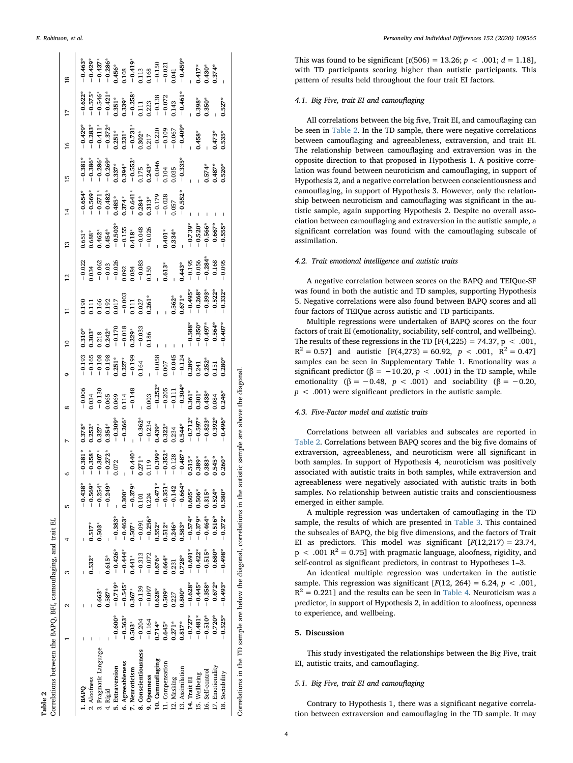<span id="page-3-0"></span>

| Correlations between the BAPQ, BFI, camouflaging, and trait EI.                                                   |           |                   |           |           |                       |                                                                                                                                                                                                                                                                    |                                                                                                                                                                    |                                                                                                                        |                                                                                                                                                                                                                                                                                                     |                                                                                   |                                                                                                                                                                                                                                                                          |                 |                                                                                                                                                    |                                                                                                                                                          |                       |                                                                                                                                                                               |                  |                                                                                                                                                                                                                                                 |
|-------------------------------------------------------------------------------------------------------------------|-----------|-------------------|-----------|-----------|-----------------------|--------------------------------------------------------------------------------------------------------------------------------------------------------------------------------------------------------------------------------------------------------------------|--------------------------------------------------------------------------------------------------------------------------------------------------------------------|------------------------------------------------------------------------------------------------------------------------|-----------------------------------------------------------------------------------------------------------------------------------------------------------------------------------------------------------------------------------------------------------------------------------------------------|-----------------------------------------------------------------------------------|--------------------------------------------------------------------------------------------------------------------------------------------------------------------------------------------------------------------------------------------------------------------------|-----------------|----------------------------------------------------------------------------------------------------------------------------------------------------|----------------------------------------------------------------------------------------------------------------------------------------------------------|-----------------------|-------------------------------------------------------------------------------------------------------------------------------------------------------------------------------|------------------|-------------------------------------------------------------------------------------------------------------------------------------------------------------------------------------------------------------------------------------------------|
|                                                                                                                   |           | $\mathbf{\Omega}$ | S         |           | Ľ.                    | G                                                                                                                                                                                                                                                                  |                                                                                                                                                                    | ∞                                                                                                                      | Ō                                                                                                                                                                                                                                                                                                   | $\overline{a}$                                                                    | $\mathbf{1}$                                                                                                                                                                                                                                                             | $\overline{12}$ | ≌                                                                                                                                                  | $\overline{4}$                                                                                                                                           | ë                     | $\overline{16}$                                                                                                                                                               | $\overline{17}$  | ≌                                                                                                                                                                                                                                               |
| <b>BAPO</b>                                                                                                       |           |                   |           |           | $-0.438*$             | $-0.381*$                                                                                                                                                                                                                                                          |                                                                                                                                                                    |                                                                                                                        |                                                                                                                                                                                                                                                                                                     | $0.310*$                                                                          | 061                                                                                                                                                                                                                                                                      |                 |                                                                                                                                                    | $0.654*$                                                                                                                                                 | $-0.381*$             | $-0.429*$                                                                                                                                                                     | $-0.622$         | $-0.463$                                                                                                                                                                                                                                        |
| 2. Aloofness                                                                                                      |           |                   | $0.532*$  | $0.517*$  | $-0.569$              | $-0.358*$                                                                                                                                                                                                                                                          |                                                                                                                                                                    |                                                                                                                        |                                                                                                                                                                                                                                                                                                     |                                                                                   |                                                                                                                                                                                                                                                                          |                 |                                                                                                                                                    |                                                                                                                                                          |                       |                                                                                                                                                                               |                  | $-0.429*$                                                                                                                                                                                                                                       |
| 3. Pragmatic Language                                                                                             |           | $0.663*$          |           | $0.503*$  | $-0.254$ <sup>*</sup> |                                                                                                                                                                                                                                                                    |                                                                                                                                                                    |                                                                                                                        |                                                                                                                                                                                                                                                                                                     |                                                                                   |                                                                                                                                                                                                                                                                          |                 |                                                                                                                                                    |                                                                                                                                                          |                       |                                                                                                                                                                               | $-0.575^{\circ}$ | $-0.437$                                                                                                                                                                                                                                        |
| 4. Rigid                                                                                                          |           | $0.587*$          | $0.615*$  |           | $-0.249$              |                                                                                                                                                                                                                                                                    |                                                                                                                                                                    |                                                                                                                        |                                                                                                                                                                                                                                                                                                     |                                                                                   |                                                                                                                                                                                                                                                                          |                 |                                                                                                                                                    |                                                                                                                                                          |                       |                                                                                                                                                                               |                  |                                                                                                                                                                                                                                                 |
| 5. Extraversion                                                                                                   | $-0.600*$ | $-0.719*$         | $-0.426*$ | $-0.383*$ |                       | $\begin{array}{cccccc} 0.305^* & 0.375^* & 0.375^* & 0.375^* & 0.375^* & 0.375^* & 0.375^* & 0.375^* & 0.375^* & 0.375^* & 0.375^* & 0.375^* & 0.375^* & 0.375^* & 0.375^* & 0.375^* & 0.375^* & 0.375^* & 0.375^* & 0.375^* & 0.375^* & 0.375^* & 0.375^* & 0.37$ | $0.378^*$<br>$0.252^*$<br>$0.327^*$<br>$0.309^*$<br>$0.309^*$<br>$-0.266^*$                                                                                        | $-0.006$<br>$-0.034$<br>$-0.130$<br>$-0.130$<br>$-0.130$<br>$-0.14$<br>$-0.148$                                        | $\begin{array}{r} 0.193\\ -0.105\\ -0.105\\ -0.223\\ -0.323\\ -0.104\\ -0.000\\ -0.000\\ -0.000\\ -0.000\\ -0.000\\ -0.000\\ -0.000\\ -0.000\\ -0.000\\ -0.000\\ -0.000\\ -0.000\\ -0.000\\ -0.000\\ -0.000\\ -0.000\\ -0.000\\ -0.000\\ -0.000\\ -0.000\\ -0.000\\ -0.000\\ -0.000\\ -0.000\\ -0.$ | $0.303^*$<br>$-0.170$<br>$-0.170$<br>$-0.018$<br>$-0.018$<br>$-0.033$<br>$-0.033$ | $\begin{array}{cccc} 0.111 & 0.166 & 0.166 & 0.166 & 0.162 & 0.162 & 0.162 & 0.162 & 0.162 & 0.162 & 0.162 & 0.162 & 0.162 & 0.162 & 0.162 & 0.162 & 0.162 & 0.162 & 0.162 & 0.162 & 0.162 & 0.162 & 0.162 & 0.162 & 0.162 & 0.162 & 0.162 & 0.162 & 0.162 & 0.162 & 0.$ |                 | $0.651$<br>$0.688$<br>$0.688$<br>$0.462$<br>$0.454$<br>$0.503$<br>$0.1418$<br>$0.0048$<br>$0.0068$<br>$0.0068$<br>$0.0068$<br>$0.0064$<br>$0.0064$ | $-0.565$<br>$-0.571$<br>$-0.485$<br>$-0.485$<br>$-0.374$<br>$-0.544$<br>$-0.544$<br>$-0.543$<br>$-0.543$<br>$-0.552$<br>$-0.552$<br>$-0.552$<br>$-0.552$ |                       | $\begin{array}{r} -0.283^*\\ -0.411^*\\ -0.371^*\\ -0.531^*\\ 0.251^*\\ 0.231^*\\ -0.731^*\\ -0.302^*\\ 0.217\\ -0.217\\ -0.202\\ -0.065\\ -0.458^*\\ -0.458^*\\ \end{array}$ |                  | $\begin{array}{r} 6.286\ast\ 6.308\ast\ 6.456\ast\ 6.0208\ast\ 6.0108\ 6.108\ 6.1013\ 7.113\ 8.113\ 9.113\ 1.123\ 1.130\ 1.130\ 1.130\ 1.130\ 1.130\ 1.130\ 1.130\ 1.130\ 1.130\ 1.130\ 1.130\ 1.130\ 1.130\ 1.130\ 1.130\ 1.130\ 1.130\ 1.130$ |
| 6. Agreeableness                                                                                                  | $-0.563*$ | $-0.545*$         | $-0.444*$ | $-0.463*$ | $0.300*$              |                                                                                                                                                                                                                                                                    |                                                                                                                                                                    |                                                                                                                        |                                                                                                                                                                                                                                                                                                     |                                                                                   |                                                                                                                                                                                                                                                                          |                 |                                                                                                                                                    |                                                                                                                                                          |                       |                                                                                                                                                                               |                  |                                                                                                                                                                                                                                                 |
| 7. Neuroticism                                                                                                    | $0.503*$  | $0.367*$          | $0.441*$  | $0.507*$  | $-0.379*$             |                                                                                                                                                                                                                                                                    |                                                                                                                                                                    |                                                                                                                        |                                                                                                                                                                                                                                                                                                     |                                                                                   |                                                                                                                                                                                                                                                                          |                 |                                                                                                                                                    |                                                                                                                                                          |                       |                                                                                                                                                                               |                  |                                                                                                                                                                                                                                                 |
| 8. Conscientiousness                                                                                              | $-0.204$  | $-0.139$          | $-0.313$  | $-0.091$  | 101                   |                                                                                                                                                                                                                                                                    |                                                                                                                                                                    |                                                                                                                        |                                                                                                                                                                                                                                                                                                     |                                                                                   |                                                                                                                                                                                                                                                                          |                 |                                                                                                                                                    |                                                                                                                                                          |                       |                                                                                                                                                                               |                  |                                                                                                                                                                                                                                                 |
| 9. Openness                                                                                                       | $-0.164$  | $-0.097$          | $-0.072$  | $-0.256*$ | 0.224                 |                                                                                                                                                                                                                                                                    |                                                                                                                                                                    |                                                                                                                        |                                                                                                                                                                                                                                                                                                     |                                                                                   |                                                                                                                                                                                                                                                                          |                 |                                                                                                                                                    |                                                                                                                                                          |                       |                                                                                                                                                                               |                  |                                                                                                                                                                                                                                                 |
| 10. Camouflaging                                                                                                  | $0.714*$  | $0.628*$          | $0.676*$  | $0.552*$  | $-0.471$ <sup>*</sup> |                                                                                                                                                                                                                                                                    |                                                                                                                                                                    |                                                                                                                        |                                                                                                                                                                                                                                                                                                     |                                                                                   |                                                                                                                                                                                                                                                                          |                 |                                                                                                                                                    |                                                                                                                                                          |                       |                                                                                                                                                                               |                  |                                                                                                                                                                                                                                                 |
| 11. Compensation                                                                                                  | $0.645*$  | 1.509*            | $0.664*$  | $0.512*$  | $-0.351*$             |                                                                                                                                                                                                                                                                    |                                                                                                                                                                    |                                                                                                                        |                                                                                                                                                                                                                                                                                                     |                                                                                   |                                                                                                                                                                                                                                                                          |                 |                                                                                                                                                    |                                                                                                                                                          |                       |                                                                                                                                                                               |                  |                                                                                                                                                                                                                                                 |
| 12. Masking                                                                                                       | $0.271*$  | 1,227             | 1.231     | $0.246*$  | $-0.142$              |                                                                                                                                                                                                                                                                    |                                                                                                                                                                    |                                                                                                                        |                                                                                                                                                                                                                                                                                                     |                                                                                   |                                                                                                                                                                                                                                                                          |                 |                                                                                                                                                    |                                                                                                                                                          |                       |                                                                                                                                                                               |                  |                                                                                                                                                                                                                                                 |
| 13. Assimilation                                                                                                  | $0.817*$  | $0.800*$          | $0.728*$  | $0.583*$  | $-0.664$              |                                                                                                                                                                                                                                                                    |                                                                                                                                                                    |                                                                                                                        |                                                                                                                                                                                                                                                                                                     |                                                                                   |                                                                                                                                                                                                                                                                          |                 |                                                                                                                                                    |                                                                                                                                                          |                       |                                                                                                                                                                               |                  |                                                                                                                                                                                                                                                 |
| 14. Trait EI                                                                                                      | $-0.727*$ | $-0.628*$         | $-0.691*$ | $-0.574*$ | $0.605*$              |                                                                                                                                                                                                                                                                    | $-0.362$ <sup>3</sup><br>$-0.234$<br>$-0.329$ <sup>*</sup><br>0.322 <sup>*</sup><br>0.3234<br>0.544 <sup>*</sup><br>$-0.712$ <sup>*</sup><br>$-0.597$ <sup>*</sup> | $\begin{array}{r} 0.003 \ -0.252^* \ -0.205 \ -0.111 \ -0.304^* \ -0.361^* \ -0.361^* \ 0.361^* \ 0.301^* \end{array}$ |                                                                                                                                                                                                                                                                                                     |                                                                                   |                                                                                                                                                                                                                                                                          |                 | $-0.739^*$<br>$-0.520^*$<br>$-0.566^*$                                                                                                             |                                                                                                                                                          |                       |                                                                                                                                                                               |                  |                                                                                                                                                                                                                                                 |
| 15. Wellbeing                                                                                                     | $-0.481*$ | $-0.445*$         | $-0.422*$ | $-0.379*$ | $0.506*$              |                                                                                                                                                                                                                                                                    |                                                                                                                                                                    |                                                                                                                        |                                                                                                                                                                                                                                                                                                     |                                                                                   | $-0.268^*$                                                                                                                                                                                                                                                               |                 |                                                                                                                                                    |                                                                                                                                                          |                       |                                                                                                                                                                               |                  |                                                                                                                                                                                                                                                 |
| 16. Self-control                                                                                                  | $-0.510*$ | $-0.358*$         | $-0.515*$ | $-0.464*$ | $0.315*$              |                                                                                                                                                                                                                                                                    |                                                                                                                                                                    |                                                                                                                        |                                                                                                                                                                                                                                                                                                     |                                                                                   |                                                                                                                                                                                                                                                                          |                 |                                                                                                                                                    |                                                                                                                                                          |                       |                                                                                                                                                                               |                  |                                                                                                                                                                                                                                                 |
| 17. Emotionality                                                                                                  | $-0.720*$ | $-0.672*$         | $-0.680*$ | $-0.516*$ | $0.524*$              |                                                                                                                                                                                                                                                                    | $-0.392$                                                                                                                                                           |                                                                                                                        |                                                                                                                                                                                                                                                                                                     | - 105<br>0.350<br>0.564<br>0.540                                                  | $-0.522*$                                                                                                                                                                                                                                                                |                 | $-0.667*$                                                                                                                                          |                                                                                                                                                          | -<br>0.574*<br>0.520* | $0.473*$                                                                                                                                                                      |                  |                                                                                                                                                                                                                                                 |
| 18. Sociability                                                                                                   | $-0.525*$ | $-0.493*$         | $-0.498*$ | $-0.372*$ | $0.580*$              | $0.260*$                                                                                                                                                                                                                                                           | $-0.496$                                                                                                                                                           | $0.246*$                                                                                                               |                                                                                                                                                                                                                                                                                                     |                                                                                   | $0.332^{4}$                                                                                                                                                                                                                                                              | $-0.095$        | $-0.555$                                                                                                                                           |                                                                                                                                                          |                       |                                                                                                                                                                               |                  |                                                                                                                                                                                                                                                 |
| Correlations in the TD sample are below the diagonal, correlations in the autistic sample are above the diagonal. |           |                   |           |           |                       |                                                                                                                                                                                                                                                                    |                                                                                                                                                                    |                                                                                                                        |                                                                                                                                                                                                                                                                                                     |                                                                                   |                                                                                                                                                                                                                                                                          |                 |                                                                                                                                                    |                                                                                                                                                          |                       |                                                                                                                                                                               |                  |                                                                                                                                                                                                                                                 |

Table 2

This was found to be significant  $[t(506) = 13.26; p < .001; d = 1.18]$ , with TD participants scoring higher than autistic participants. This pattern of results held throughout the four trait EI factors.

### 4.1. Big Five, trait EI and camouflaging

All correlations between the big five, Trait EI, and camouflaging can be seen in [Table 2.](#page-3-0) In the TD sample, there were negative correlations between camouflaging and agreeableness, extraversion, and trait EI. The relationship between camouflaging and extraversion was in the opposite direction to that proposed in Hypothesis 1. A positive correlation was found between neuroticism and camouflaging, in support of Hypothesis 2, and a negative correlation between conscientiousness and camouflaging, in support of Hypothesis 3. However, only the relationship between neuroticism and camouflaging was significant in the autistic sample, again supporting Hypothesis 2. Despite no overall association between camouflaging and extraversion in the autistic sample, a significant correlation was found with the camouflaging subscale of assimilation.

### 4.2. Trait emotional intelligence and autistic traits

A negative correlation between scores on the BAPQ and TEIQue-SF was found in both the autistic and TD samples, supporting Hypothesis 5. Negative correlations were also found between BAPQ scores and all four factors of TEIQue across autistic and TD participants.

Multiple regressions were undertaken of BAPQ scores on the four factors of trait EI (emotionality, sociability, self-control, and wellbeing). The results of these regressions in the TD [F(4,225) = 74.37, p < .001,  $R^{2} = 0.57$ ] and autistic [F(4,273) = 60.92,  $p < .001$ ,  $R^{2} = 0.47$ ] samples can be seen in Supplementary Table 1. Emotionality was a significant predictor ( $\beta$  = -10.20, p < .001) in the TD sample, while emotionality ( $\beta = -0.48$ ,  $p < .001$ ) and sociability ( $\beta = -0.20$ ,  $p < .001$ ) were significant predictors in the autistic sample.

### 4.3. Five-Factor model and autistic traits

Correlations between all variables and subscales are reported in [Table 2.](#page-3-0) Correlations between BAPQ scores and the big five domains of extraversion, agreeableness, and neuroticism were all significant in both samples. In support of Hypothesis 4, neuroticism was positively associated with autistic traits in both samples, while extraversion and agreeableness were negatively associated with autistic traits in both samples. No relationship between autistic traits and conscientiousness emerged in either sample.

A multiple regression was undertaken of camouflaging in the TD sample, the results of which are presented in [Table 3.](#page-4-0) This contained the subscales of BAPQ, the big five dimensions, and the factors of Trait EI as predictors. This model was significant  $[F(12,217) = 23.74,$  $p < .001 R<sup>2</sup> = 0.75$ ] with pragmatic language, aloofness, rigidity, and self-control as significant predictors, in contrast to Hypotheses 1–3.

An identical multiple regression was undertaken in the autistic sample. This regression was significant  $[F(12, 264) = 6.24, p < .001,$  $R<sup>2</sup> = 0.221$ ] and the results can be seen in [Table 4](#page-4-1). Neuroticism was a predictor, in support of Hypothesis 2, in addition to aloofness, openness to experience, and wellbeing.

### 5. Discussion

This study investigated the relationships between the Big Five, trait EI, autistic traits, and camouflaging.

### 5.1. Big Five, trait EI and camouflaging

Contrary to Hypothesis 1, there was a significant negative correlation between extraversion and camouflaging in the TD sample. It may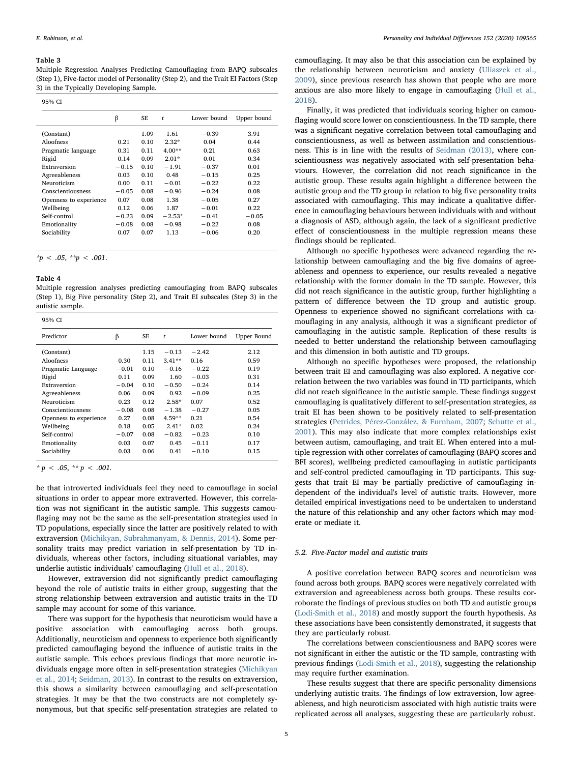#### <span id="page-4-0"></span>Table 3

Multiple Regression Analyses Predicting Camouflaging from BAPQ subscales (Step 1), Five-factor model of Personality (Step 2), and the Trait EI Factors (Step 3) in the Typically Developing Sample.

| 95% CI                 |         |      |          |             |             |
|------------------------|---------|------|----------|-------------|-------------|
|                        | β       | SE   | t        | Lower bound | Upper bound |
| (Constant)             |         | 1.09 | 1.61     | $-0.39$     | 3.91        |
| Aloofness              | 0.21    | 0.10 | $2.32*$  | 0.04        | 0.44        |
| Pragmatic language     | 0.31    | 0.11 | $4.00**$ | 0.21        | 0.63        |
| Rigid                  | 0.14    | 0.09 | $2.01*$  | 0.01        | 0.34        |
| Extraversion           | $-0.15$ | 0.10 | $-1.91$  | $-0.37$     | 0.01        |
| Agreeableness          | 0.03    | 0.10 | 0.48     | $-0.15$     | 0.25        |
| Neuroticism            | 0.00    | 0.11 | $-0.01$  | $-0.22$     | 0.22        |
| Conscientiousness      | $-0.05$ | 0.08 | $-0.96$  | $-0.24$     | 0.08        |
| Openness to experience | 0.07    | 0.08 | 1.38     | $-0.05$     | 0.27        |
| Wellbeing              | 0.12    | 0.06 | 1.87     | $-0.01$     | 0.22        |
| Self-control           | $-0.23$ | 0.09 | $-2.53*$ | $-0.41$     | $-0.05$     |
| Emotionality           | $-0.08$ | 0.08 | $-0.98$  | $-0.22$     | 0.08        |
| Sociability            | 0.07    | 0.07 | 1.13     | $-0.06$     | 0.20        |

 $*_p$  < .05,  $*_p$  < .001.

#### <span id="page-4-1"></span>Table 4

Multiple regression analyses predicting camouflaging from BAPQ subscales (Step 1), Big Five personality (Step 2), and Trait EI subscales (Step 3) in the autistic sample.

| 95% CI                 |         |      |          |             |             |
|------------------------|---------|------|----------|-------------|-------------|
| Predictor              | β       | SE   | t        | Lower bound | Upper Bound |
| (Constant)             |         | 1.15 | $-0.13$  | $-2.42$     | 2.12        |
| Aloofness              | 0.30    | 0.11 | $3.41**$ | 0.16        | 0.59        |
| Pragmatic Language     | $-0.01$ | 0.10 | $-0.16$  | $-0.22$     | 0.19        |
| Rigid                  | 0.11    | 0.09 | 1.60     | $-0.03$     | 0.31        |
| Extraversion           | $-0.04$ | 0.10 | $-0.50$  | $-0.24$     | 0.14        |
| Agreeableness          | 0.06    | 0.09 | 0.92     | $-0.09$     | 0.25        |
| Neuroticism            | 0.23    | 0.12 | $2.58*$  | 0.07        | 0.52        |
| Conscientiousness      | $-0.08$ | 0.08 | $-1.38$  | $-0.27$     | 0.05        |
| Openness to experience | 0.27    | 0.08 | 4.59**   | 0.21        | 0.54        |
| Wellbeing              | 0.18    | 0.05 | $2.41*$  | 0.02        | 0.24        |
| Self-control           | $-0.07$ | 0.08 | $-0.82$  | $-0.23$     | 0.10        |
| Emotionality           | 0.03    | 0.07 | 0.45     | $-0.11$     | 0.17        |
| Sociability            | 0.03    | 0.06 | 0.41     | $-0.10$     | 0.15        |
|                        |         |      |          |             |             |

\*  $p < .05$ , \*\*  $p < .001$ .

be that introverted individuals feel they need to camouflage in social situations in order to appear more extraverted. However, this correlation was not significant in the autistic sample. This suggests camouflaging may not be the same as the self-presentation strategies used in TD populations, especially since the latter are positively related to with extraversion ([Michikyan, Subrahmanyam, & Dennis, 2014\)](#page-6-12). Some personality traits may predict variation in self-presentation by TD individuals, whereas other factors, including situational variables, may underlie autistic individuals' camouflaging [\(Hull et al., 2018](#page-5-10)).

However, extraversion did not significantly predict camouflaging beyond the role of autistic traits in either group, suggesting that the strong relationship between extraversion and autistic traits in the TD sample may account for some of this variance.

There was support for the hypothesis that neuroticism would have a positive association with camouflaging across both groups. Additionally, neuroticism and openness to experience both significantly predicted camouflaging beyond the influence of autistic traits in the autistic sample. This echoes previous findings that more neurotic individuals engage more often in self-presentation strategies [\(Michikyan](#page-6-12) [et al., 2014;](#page-6-12) [Seidman, 2013](#page-6-6)). In contrast to the results on extraversion, this shows a similarity between camouflaging and self-presentation strategies. It may be that the two constructs are not completely synonymous, but that specific self-presentation strategies are related to

camouflaging. It may also be that this association can be explained by the relationship between neuroticism and anxiety [\(Uliaszek et al.,](#page-6-13) [2009\)](#page-6-13), since previous research has shown that people who are more anxious are also more likely to engage in camouflaging ([Hull et al.,](#page-5-10) [2018\)](#page-5-10).

Finally, it was predicted that individuals scoring higher on camouflaging would score lower on conscientiousness. In the TD sample, there was a significant negative correlation between total camouflaging and conscientiousness, as well as between assimilation and conscientiousness. This is in line with the results of [Seidman \(2013\)](#page-6-6), where conscientiousness was negatively associated with self-presentation behaviours. However, the correlation did not reach significance in the autistic group. These results again highlight a difference between the autistic group and the TD group in relation to big five personality traits associated with camouflaging. This may indicate a qualitative difference in camouflaging behaviours between individuals with and without a diagnosis of ASD, although again, the lack of a significant predictive effect of conscientiousness in the multiple regression means these findings should be replicated.

Although no specific hypotheses were advanced regarding the relationship between camouflaging and the big five domains of agreeableness and openness to experience, our results revealed a negative relationship with the former domain in the TD sample. However, this did not reach significance in the autistic group, further highlighting a pattern of difference between the TD group and autistic group. Openness to experience showed no significant correlations with camouflaging in any analysis, although it was a significant predictor of camouflaging in the autistic sample. Replication of these results is needed to better understand the relationship between camouflaging and this dimension in both autistic and TD groups.

Although no specific hypotheses were proposed, the relationship between trait EI and camouflaging was also explored. A negative correlation between the two variables was found in TD participants, which did not reach significance in the autistic sample. These findings suggest camouflaging is qualitatively different to self-presentation strategies, as trait EI has been shown to be positively related to self-presentation strategies ([Petrides, Pérez-González, & Furnham, 2007](#page-6-8); [Schutte et al.,](#page-6-7) [2001\)](#page-6-7). This may also indicate that more complex relationships exist between autism, camouflaging, and trait EI. When entered into a multiple regression with other correlates of camouflaging (BAPQ scores and BFI scores), wellbeing predicted camouflaging in autistic participants and self-control predicted camouflaging in TD participants. This suggests that trait EI may be partially predictive of camouflaging independent of the individual's level of autistic traits. However, more detailed empirical investigations need to be undertaken to understand the nature of this relationship and any other factors which may moderate or mediate it.

### 5.2. Five-Factor model and autistic traits

A positive correlation between BAPQ scores and neuroticism was found across both groups. BAPQ scores were negatively correlated with extraversion and agreeableness across both groups. These results corroborate the findings of previous studies on both TD and autistic groups ([Lodi-Smith et al., 2018\)](#page-6-1) and mostly support the fourth hypothesis. As these associations have been consistently demonstrated, it suggests that they are particularly robust.

The correlations between conscientiousness and BAPQ scores were not significant in either the autistic or the TD sample, contrasting with previous findings [\(Lodi-Smith et al., 2018\)](#page-6-1), suggesting the relationship may require further examination.

These results suggest that there are specific personality dimensions underlying autistic traits. The findings of low extraversion, low agreeableness, and high neuroticism associated with high autistic traits were replicated across all analyses, suggesting these are particularly robust.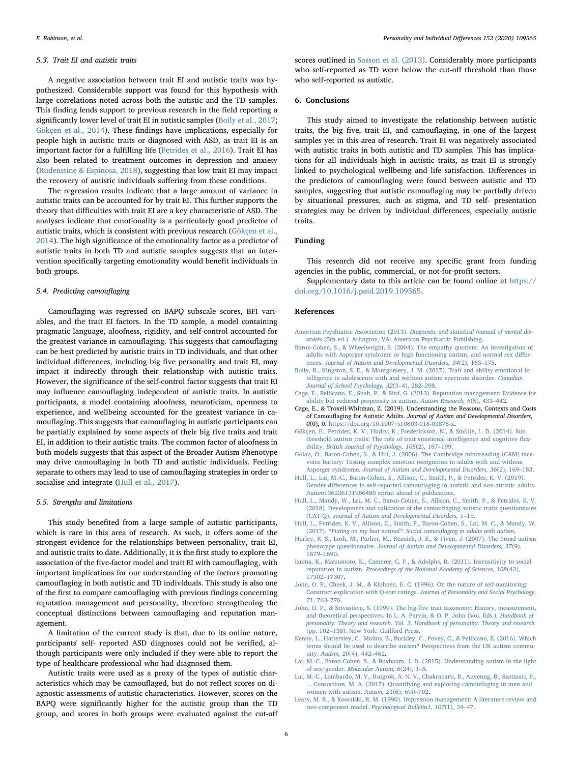### 5.3. Trait EI and autistic traits

A negative association between trait EI and autistic traits was hypothesized. Considerable support was found for this hypothesis with large correlations noted across both the autistic and the TD samples. This finding lends support to previous research in the field reporting a significantly lower level of trait EI in autistic samples [\(Boily et al., 2017](#page-5-4); [Gökçen et al., 2014\)](#page-5-5). These findings have implications, especially for people high in autistic traits or diagnosed with ASD, as trait EI is an important factor for a fulfilling life ([Petrides et al., 2016](#page-6-14)). Trait EI has also been related to treatment outcomes in depression and anxiety ([Rudenstine & Espinosa, 2018\)](#page-6-15), suggesting that low trait EI may impact the recovery of autistic individuals suffering from these conditions.

The regression results indicate that a large amount of variance in autistic traits can be accounted for by trait EI. This further supports the theory that difficulties with trait EI are a key characteristic of ASD. The analyses indicate that emotionality is a particularly good predictor of autistic traits, which is consistent with previous research ([Gökçen et al.,](#page-5-5) [2014\)](#page-5-5). The high significance of the emotionality factor as a predictor of autistic traits in both TD and autistic samples suggests that an intervention specifically targeting emotionality would benefit individuals in both groups.

### 5.4. Predicting camouflaging

Camouflaging was regressed on BAPQ subscale scores, BFI variables, and the trait EI factors. In the TD sample, a model containing pragmatic language, aloofness, rigidity, and self-control accounted for the greatest variance in camouflaging. This suggests that camouflaging can be best predicted by autistic traits in TD individuals, and that other individual differences, including big five personality and trait EI, may impact it indirectly through their relationship with autistic traits. However, the significance of the self-control factor suggests that trait EI may influence camouflaging independent of autistic traits. In autistic participants, a model containing aloofness, neuroticism, openness to experience, and wellbeing accounted for the greatest variance in camouflaging. This suggests that camouflaging in autistic participants can be partially explained by some aspects of their big five traits and trait EI, in addition to their autistic traits. The common factor of aloofness in both models suggests that this aspect of the Broader Autism Phenotype may drive camouflaging in both TD and autistic individuals. Feeling separate to others may lead to use of camouflaging strategies in order to socialise and integrate ([Hull et al., 2017](#page-5-6)).

### 5.5. Strengths and limitations

This study benefited from a large sample of autistic participants, which is rare in this area of research. As such, it offers some of the strongest evidence for the relationships between personality, trait EI, and autistic traits to date. Additionally, it is the first study to explore the association of the five-factor model and trait EI with camouflaging, with important implications for our understanding of the factors promoting camouflaging in both autistic and TD individuals. This study is also one of the first to compare camouflaging with previous findings concerning reputation management and personality, therefore strengthening the conceptual distinctions between camouflaging and reputation management.

A limitation of the current study is that, due to its online nature, participants' self- reported ASD diagnoses could not be verified, although participants were only included if they were able to report the type of healthcare professional who had diagnosed them.

Autistic traits were used as a proxy of the types of autistic characteristics which may be camouflaged, but do not reflect scores on diagnostic assessments of autistic characteristics. However, scores on the BAPQ were significantly higher for the autistic group than the TD group, and scores in both groups were evaluated against the cut-off scores outlined in [Sasson et al. \(2013\).](#page-6-9) Considerably more participants who self-reported as TD were below the cut-off threshold than those who self-reported as autistic.

#### 6. Conclusions

This study aimed to investigate the relationship between autistic traits, the big five, trait EI, and camouflaging, in one of the largest samples yet in this area of research. Trait EI was negatively associated with autistic traits in both autistic and TD samples. This has implications for all individuals high in autistic traits, as trait EI is strongly linked to psychological wellbeing and life satisfaction. Differences in the predictors of camouflaging were found between autistic and TD samples, suggesting that autistic camouflaging may be partially driven by situational pressures, such as stigma, and TD self- presentation strategies may be driven by individual differences, especially autistic traits.

### Funding

This research did not receive any specific grant from funding agencies in the public, commercial, or not-for-profit sectors.

Supplementary data to this article can be found online at [https://](https://doi.org/10.1016/j.paid.2019.109565) [doi.org/10.1016/j.paid.2019.109565](https://doi.org/10.1016/j.paid.2019.109565).

#### References

- <span id="page-5-0"></span>American Psychiatric Association (2013). [Diagnostic and statistical manual of mental dis](http://refhub.elsevier.com/S0191-8869(19)30497-0/rf0005)orders [\(5th ed.\). Arlington, VA: American Psychiatric Publishing](http://refhub.elsevier.com/S0191-8869(19)30497-0/rf0005).
- <span id="page-5-2"></span>[Baron-Cohen, S., & Wheelwright, S. \(2004\). The empathy quotient: An investigation of](http://refhub.elsevier.com/S0191-8869(19)30497-0/rf0010) [adults with Asperger syndrome or high functioning autism, and normal sex di](http://refhub.elsevier.com/S0191-8869(19)30497-0/rf0010)fferences. [Journal of Autism and Developmental Disorders, 34](http://refhub.elsevier.com/S0191-8869(19)30497-0/rf0010)(2), 163–175.
- <span id="page-5-4"></span>[Boily, R., Kingston, S. E., & Montgomery, J. M. \(2017\). Trait and ability emotional in](http://refhub.elsevier.com/S0191-8869(19)30497-0/rf0015)[telligence in adolescents with and without autism spectrum disorder.](http://refhub.elsevier.com/S0191-8869(19)30497-0/rf0015) Canadian [Journal of School Psychology, 32](http://refhub.elsevier.com/S0191-8869(19)30497-0/rf0015)(3–4), 282–298.
- <span id="page-5-13"></span>[Cage, E., Pellicano, E., Shah, P., & Bird, G. \(2013\). Reputation management: Evidence for](http://refhub.elsevier.com/S0191-8869(19)30497-0/rf0020) [ability but reduced propensity in autism.](http://refhub.elsevier.com/S0191-8869(19)30497-0/rf0020) Autism Research, 6(5), 433–442.
- <span id="page-5-8"></span>Cage, E., & Troxell-Whitman, Z. (2019). Understanding the Reasons, Contexts and Costs of Camouflaging for Autistic Adults. Journal of Autism and Developmental Disorders, 0(0), 0. <https://doi.org/10.1007/s10803-018-03878-x>.
- <span id="page-5-5"></span>[Gökçen, E., Petrides, K. V., Hudry, K., Frederickson, N., & Smillie, L. D. \(2014\). Sub](http://refhub.elsevier.com/S0191-8869(19)30497-0/rf0025)[threshold autism traits: The role of trait emotional intelligence and cognitive](http://refhub.elsevier.com/S0191-8869(19)30497-0/rf0025) flexibility. [British Journal of Psychology, 105](http://refhub.elsevier.com/S0191-8869(19)30497-0/rf0025)(2), 187–199.
- <span id="page-5-3"></span>[Golan, O., Baron-Cohen, S., & Hill, J. \(2006\). The Cambridge mindreading \(CAM\) face](http://refhub.elsevier.com/S0191-8869(19)30497-0/rf0030)[voice battery: Testing complex emotion recognition in adults with and without](http://refhub.elsevier.com/S0191-8869(19)30497-0/rf0030) Asperger syndrome. [Journal of Autism and Developmental Disorders, 36](http://refhub.elsevier.com/S0191-8869(19)30497-0/rf0030)(2), 169–183.
- [Hull, L., Lai, M.-C., Baron-Cohen, S., Allison, C., Smith, P., & Petrides, K. V. \(2019\).](http://refhub.elsevier.com/S0191-8869(19)30497-0/rf0035) Gender differences in self-reported camoufl[aging in autistic and non-autistic adults.](http://refhub.elsevier.com/S0191-8869(19)30497-0/rf0035) Autism[136236131986480 eprint ahead of publication.](http://refhub.elsevier.com/S0191-8869(19)30497-0/rf0035)
- <span id="page-5-10"></span>[Hull, L., Mandy, W., Lai, M. C., Baron-Cohen, S., Allison, C., Smith, P., & Petrides, K. V.](http://refhub.elsevier.com/S0191-8869(19)30497-0/rf0040) [\(2018\). Development and validation of the camou](http://refhub.elsevier.com/S0191-8869(19)30497-0/rf0040)flaging autistic traits questionnaire (CAT-Q). [Journal of Autism and Developmental Disorders,](http://refhub.elsevier.com/S0191-8869(19)30497-0/rf0040) 1–15.
- <span id="page-5-6"></span>[Hull, L., Petrides, K. V., Allison, C., Smith, P., Baron-Cohen, S., Lai, M. C., & Mandy, W.](http://refhub.elsevier.com/S0191-8869(19)30497-0/rf0045) (2017). "Putting on my best normal": Social camoufl[aging in adults with autism](http://refhub.elsevier.com/S0191-8869(19)30497-0/rf0045).
- <span id="page-5-15"></span>[Hurley, R. S., Losh, M., Parlier, M., Reznick, J. S., & Piven, J. \(2007\). The broad autism](http://refhub.elsevier.com/S0191-8869(19)30497-0/rf0050) phenotype questionnaire. [Journal of Autism and Developmental Disorders, 37](http://refhub.elsevier.com/S0191-8869(19)30497-0/rf0050)(9), 1679–[1690](http://refhub.elsevier.com/S0191-8869(19)30497-0/rf0050).
- <span id="page-5-11"></span>[Izuma, K., Matsumoto, K., Camerer, C. F., & Adolphs, R. \(2011\). Insensitivity to social](http://refhub.elsevier.com/S0191-8869(19)30497-0/rf0055) reputation in autism. [Proceedings of the National Academy of Sciences, 108](http://refhub.elsevier.com/S0191-8869(19)30497-0/rf0055)(42), 17302–[17307.](http://refhub.elsevier.com/S0191-8869(19)30497-0/rf0055)
- <span id="page-5-14"></span>John, [O. P., Cheek, J. M., & Klohnen, E. C. \(1996\). On the nature of self-monitoring:](http://refhub.elsevier.com/S0191-8869(19)30497-0/rf0060) Construct explication with Q-sort ratings. [Journal of Personality and Social Psychology,](http://refhub.elsevier.com/S0191-8869(19)30497-0/rf0060) 71[, 763](http://refhub.elsevier.com/S0191-8869(19)30497-0/rf0060)–776.
- <span id="page-5-16"></span>[John, O. P., & Srivastava, S. \(1999\). The big-](http://refhub.elsevier.com/S0191-8869(19)30497-0/rf0065)five trait taxonomy: History, measurement, [and theoretical perspectives. In L. A. Pervin, & O. P. John \(Vol. Eds.\),](http://refhub.elsevier.com/S0191-8869(19)30497-0/rf0065) Handbook of personality: Theory and research. Vol. 2. [Handbook of personality: Theory and research](http://refhub.elsevier.com/S0191-8869(19)30497-0/rf0065) (pp. 102–[138\). New York: Guilford Press](http://refhub.elsevier.com/S0191-8869(19)30497-0/rf0065).
- <span id="page-5-1"></span>[Kenny, L., Hattersley, C., Molins, B., Buckley, C., Povey, C., & Pellicano, E. \(2016\). Which](http://refhub.elsevier.com/S0191-8869(19)30497-0/rf0070) [terms should be used to describe autism? Perspectives from the UK autism commu](http://refhub.elsevier.com/S0191-8869(19)30497-0/rf0070)nity. [Autism, 20](http://refhub.elsevier.com/S0191-8869(19)30497-0/rf0070)(4), 442–462.
- <span id="page-5-7"></span>[Lai, M.-C., Baron-Cohen, S., & Buxbaum, J. D. \(2015\). Understanding autism in the light](http://refhub.elsevier.com/S0191-8869(19)30497-0/rf0075) of sex/gender. [Molecular Autism, 6](http://refhub.elsevier.com/S0191-8869(19)30497-0/rf0075)(24), 1–5.
- <span id="page-5-9"></span>[Lai, M.-C., Lombardo, M. V., Ruigrok, A. N. V., Chakrabarti, B., Auyeung, B., Szatmari, P.,](http://refhub.elsevier.com/S0191-8869(19)30497-0/rf0080) [... Consortium, M. A. \(2017\). Quantifying and exploring camou](http://refhub.elsevier.com/S0191-8869(19)30497-0/rf0080)flaging in men and [women with autism.](http://refhub.elsevier.com/S0191-8869(19)30497-0/rf0080) Autism, 21(6), 690–702.
- <span id="page-5-12"></span>[Leary, M. R., & Kowalski, R. M. \(1990\). Impression management: A literature review and](http://refhub.elsevier.com/S0191-8869(19)30497-0/rf0085) two-component model. [Psychological Bulletin1, 107](http://refhub.elsevier.com/S0191-8869(19)30497-0/rf0085)(1), 34–47.